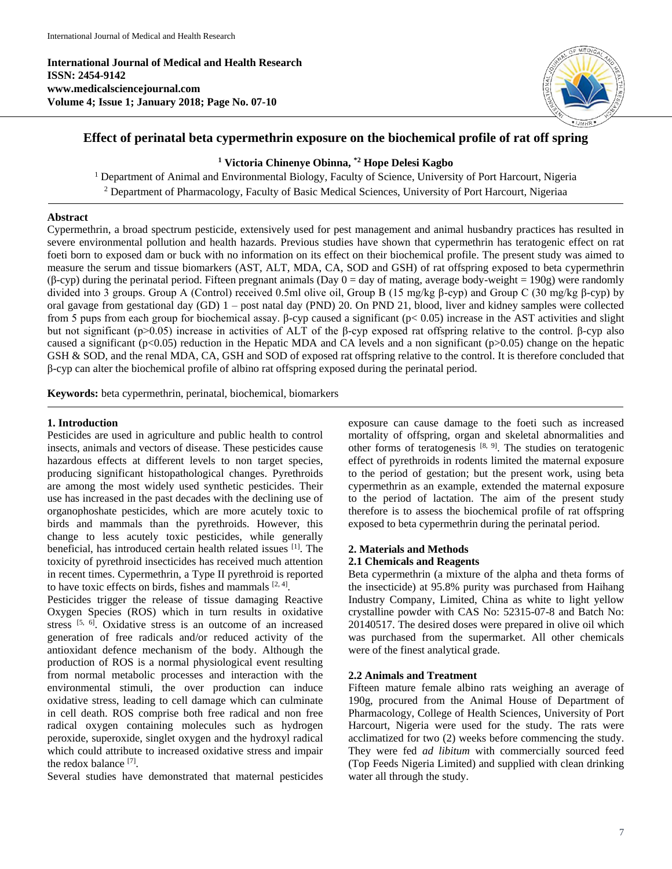**International Journal of Medical and Health Research ISSN: 2454-9142 www.medicalsciencejournal.com Volume 4; Issue 1; January 2018; Page No. 07-10**



# **Effect of perinatal beta cypermethrin exposure on the biochemical profile of rat off spring**

## **<sup>1</sup> Victoria Chinenye Obinna, \*2 Hope Delesi Kagbo**

<sup>1</sup> Department of Animal and Environmental Biology, Faculty of Science, University of Port Harcourt, Nigeria <sup>2</sup> Department of Pharmacology, Faculty of Basic Medical Sciences, University of Port Harcourt, Nigeriaa

### **Abstract**

Cypermethrin, a broad spectrum pesticide, extensively used for pest management and animal husbandry practices has resulted in severe environmental pollution and health hazards. Previous studies have shown that cypermethrin has teratogenic effect on rat foeti born to exposed dam or buck with no information on its effect on their biochemical profile. The present study was aimed to measure the serum and tissue biomarkers (AST, ALT, MDA, CA, SOD and GSH) of rat offspring exposed to beta cypermethrin  $(\beta$ -cyp) during the perinatal period. Fifteen pregnant animals (Day  $0 = day$  of mating, average body-weight = 190g) were randomly divided into 3 groups. Group A (Control) received 0.5ml olive oil, Group B (15 mg/kg β-cyp) and Group C (30 mg/kg β-cyp) by oral gavage from gestational day (GD) 1 – post natal day (PND) 20. On PND 21, blood, liver and kidney samples were collected from 5 pups from each group for biochemical assay. β-cyp caused a significant (p< 0.05) increase in the AST activities and slight but not significant (p>0.05) increase in activities of ALT of the β-cyp exposed rat offspring relative to the control. β-cyp also caused a significant (p<0.05) reduction in the Hepatic MDA and CA levels and a non significant (p>0.05) change on the hepatic GSH & SOD, and the renal MDA, CA, GSH and SOD of exposed rat offspring relative to the control. It is therefore concluded that β-cyp can alter the biochemical profile of albino rat offspring exposed during the perinatal period.

**Keywords:** beta cypermethrin, perinatal, biochemical, biomarkers

### **1. Introduction**

Pesticides are used in agriculture and public health to control insects, animals and vectors of disease. These pesticides cause hazardous effects at different levels to non target species, producing significant histopathological changes. Pyrethroids are among the most widely used synthetic pesticides. Their use has increased in the past decades with the declining use of organophoshate pesticides, which are more acutely toxic to birds and mammals than the pyrethroids. However, this change to less acutely toxic pesticides, while generally beneficial, has introduced certain health related issues [1]. The toxicity of pyrethroid insecticides has received much attention in recent times. Cypermethrin, a Type II pyrethroid is reported to have toxic effects on birds, fishes and mammals  $[2, 4]$ .

Pesticides trigger the release of tissue damaging Reactive Oxygen Species (ROS) which in turn results in oxidative stress [5, 6]. Oxidative stress is an outcome of an increased generation of free radicals and/or reduced activity of the antioxidant defence mechanism of the body. Although the production of ROS is a normal physiological event resulting from normal metabolic processes and interaction with the environmental stimuli, the over production can induce oxidative stress, leading to cell damage which can culminate in cell death. ROS comprise both free radical and non free radical oxygen containing molecules such as hydrogen peroxide, superoxide, singlet oxygen and the hydroxyl radical which could attribute to increased oxidative stress and impair the redox balance [7].

Several studies have demonstrated that maternal pesticides

exposure can cause damage to the foeti such as increased mortality of offspring, organ and skeletal abnormalities and other forms of teratogenesis  $[8, 9]$ . The studies on teratogenic effect of pyrethroids in rodents limited the maternal exposure to the period of gestation; but the present work, using beta cypermethrin as an example, extended the maternal exposure to the period of lactation. The aim of the present study therefore is to assess the biochemical profile of rat offspring exposed to beta cypermethrin during the perinatal period.

### **2. Materials and Methods 2.1 Chemicals and Reagents**

Beta cypermethrin (a mixture of the alpha and theta forms of the insecticide) at 95.8% purity was purchased from Haihang Industry Company, Limited, China as white to light yellow crystalline powder with CAS No: 52315-07-8 and Batch No: 20140517. The desired doses were prepared in olive oil which was purchased from the supermarket. All other chemicals were of the finest analytical grade.

### **2.2 Animals and Treatment**

Fifteen mature female albino rats weighing an average of 190g, procured from the Animal House of Department of Pharmacology, College of Health Sciences, University of Port Harcourt, Nigeria were used for the study. The rats were acclimatized for two (2) weeks before commencing the study. They were fed *ad libitum* with commercially sourced feed (Top Feeds Nigeria Limited) and supplied with clean drinking water all through the study.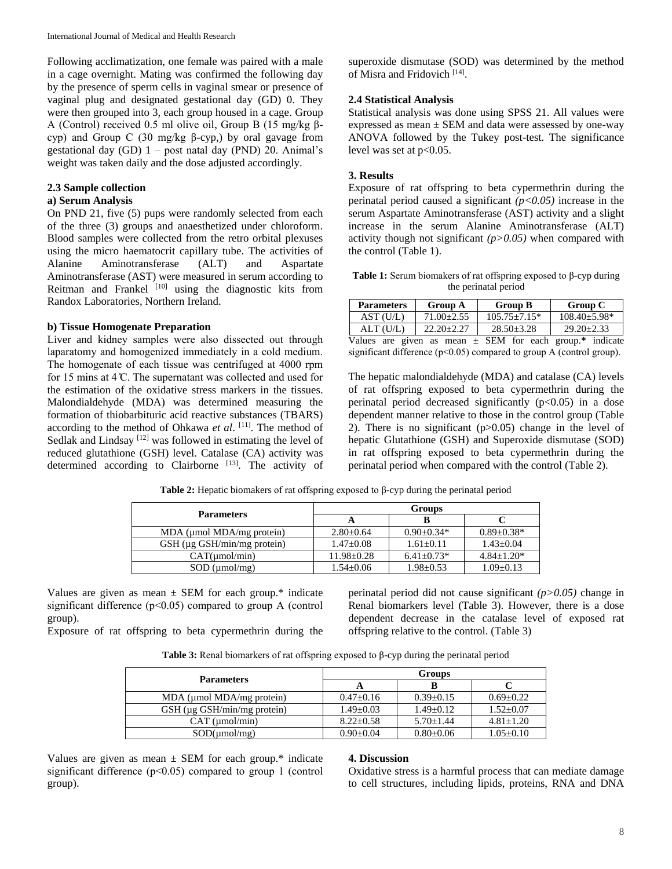Following acclimatization, one female was paired with a male in a cage overnight. Mating was confirmed the following day by the presence of sperm cells in vaginal smear or presence of vaginal plug and designated gestational day (GD) 0. They were then grouped into 3, each group housed in a cage. Group A (Control) received 0.5 ml olive oil, Group B (15 mg/kg βcyp) and Group C (30 mg/kg β-cyp,) by oral gavage from gestational day  $(GD)$  1 – post natal day  $(PND)$  20. Animal's weight was taken daily and the dose adjusted accordingly.

## **2.3 Sample collection**

## **a) Serum Analysis**

On PND 21, five (5) pups were randomly selected from each of the three (3) groups and anaesthetized under chloroform. Blood samples were collected from the retro orbital plexuses using the micro haematocrit capillary tube. The activities of Alanine Aminotransferase (ALT) and Aspartate Aminotransferase (AST) were measured in serum according to Reitman and Frankel [10] using the diagnostic kits from Randox Laboratories, Northern Ireland.

### **b) Tissue Homogenate Preparation**

Liver and kidney samples were also dissected out through laparatomy and homogenized immediately in a cold medium. The homogenate of each tissue was centrifuged at 4000 rpm for 15 mins at 4 ̊C. The supernatant was collected and used for the estimation of the oxidative stress markers in the tissues. Malondialdehyde (MDA) was determined measuring the formation of thiobarbituric acid reactive substances (TBARS) according to the method of Ohkawa *et al*. [11]. The method of Sedlak and Lindsay<sup>[12]</sup> was followed in estimating the level of reduced glutathione (GSH) level. Catalase (CA) activity was determined according to Clairborne [13]. The activity of

superoxide dismutase (SOD) was determined by the method of Misra and Fridovich<sup>[14]</sup>.

## **2.4 Statistical Analysis**

Statistical analysis was done using SPSS 21. All values were expressed as mean  $\pm$  SEM and data were assessed by one-way ANOVA followed by the Tukey post-test. The significance level was set at  $p<0.05$ .

## **3. Results**

Exposure of rat offspring to beta cypermethrin during the perinatal period caused a significant *(p<0.05)* increase in the serum Aspartate Aminotransferase (AST) activity and a slight increase in the serum Alanine Aminotransferase (ALT) activity though not significant *(p>0.05)* when compared with the control (Table 1).

**Table 1:** Serum biomakers of rat offspring exposed to β-cyp during the perinatal period

| <b>Parameters</b> | Group A        | Group B          | Group C            |
|-------------------|----------------|------------------|--------------------|
| AST(U/L)          | $71.00 + 2.55$ | $105.75 + 7.15*$ | $108.40 \pm 5.98*$ |
| ALT (U/L)         | $22.20 + 2.27$ | $28.50 + 3.28$   | $29.20 + 2.33$     |

Values are given as mean  $\pm$  SEM for each group.\* indicate significant difference ( $p<0.05$ ) compared to group A (control group).

The hepatic malondialdehyde (MDA) and catalase (CA) levels of rat offspring exposed to beta cypermethrin during the perinatal period decreased significantly  $(p<0.05)$  in a dose dependent manner relative to those in the control group (Table 2). There is no significant  $(p>0.05)$  change in the level of hepatic Glutathione (GSH) and Superoxide dismutase (SOD) in rat offspring exposed to beta cypermethrin during the perinatal period when compared with the control (Table 2).

| <b>Parameters</b>             | Groups           |                   |                  |
|-------------------------------|------------------|-------------------|------------------|
|                               |                  |                   |                  |
| $MDA$ (µmol $MDA/mg$ protein) | $2.80 \pm 0.64$  | $0.90 \pm 0.34*$  | $0.89 \pm 0.38*$ |
| GSH (µg GSH/min/mg protein)   | $1.47 \pm 0.08$  | $1.61 \pm 0.11$   | $1.43 \pm 0.04$  |
| CAT(numol/min)                | $11.98 \pm 0.28$ | $6.41 \pm 0.73$ * | $4.84 + 1.20*$   |
| $SOD$ ( $\mu$ mol/mg)         | $1.54 \pm 0.06$  | $1.98 \pm 0.53$   | $1.09 \pm 0.13$  |

**Table 2:** Hepatic biomakers of rat offspring exposed to β-cyp during the perinatal period

Values are given as mean  $\pm$  SEM for each group.\* indicate significant difference  $(p<0.05)$  compared to group A (control group).

Exposure of rat offspring to beta cypermethrin during the

perinatal period did not cause significant *(p>0.05)* change in Renal biomarkers level (Table 3). However, there is a dose dependent decrease in the catalase level of exposed rat offspring relative to the control. (Table 3)

| <b>Parameters</b>             | Groups          |                 |                 |  |
|-------------------------------|-----------------|-----------------|-----------------|--|
|                               |                 |                 |                 |  |
| $MDA$ (µmol $MDA/mg$ protein) | $0.47 \pm 0.16$ | $0.39 \pm 0.15$ | $0.69 + 0.22$   |  |
| GSH (µg GSH/min/mg protein)   | $1.49 \pm 0.03$ | $1.49 \pm 0.12$ | $1.52 \pm 0.07$ |  |
| $CAT$ ( $µmol/min$ )          | $8.22 + 0.58$   | $5.70 + 1.44$   | $4.81 \pm 1.20$ |  |
| SOD(numol/mg)                 | $0.90 \pm 0.04$ | $0.80 \pm 0.06$ | $1.05 \pm 0.10$ |  |

Values are given as mean  $\pm$  SEM for each group.\* indicate significant difference  $(p<0.05)$  compared to group 1 (control group).

### **4. Discussion**

Oxidative stress is a harmful process that can mediate damage to cell structures, including lipids, proteins, RNA and DNA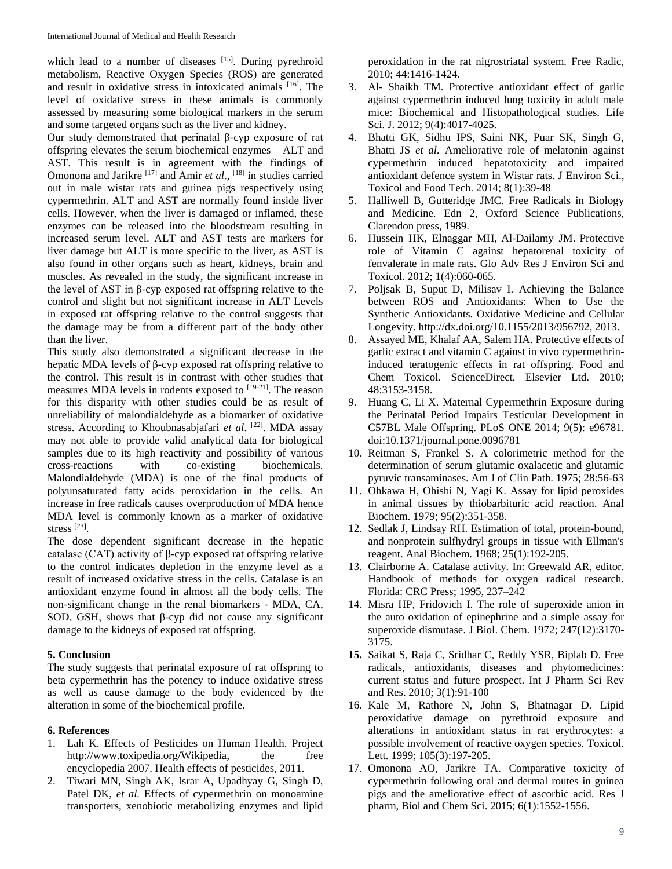which lead to a number of diseases [15]. During pyrethroid metabolism, Reactive Oxygen Species (ROS) are generated and result in oxidative stress in intoxicated animals [16]. The level of oxidative stress in these animals is commonly assessed by measuring some biological markers in the serum and some targeted organs such as the liver and kidney.

Our study demonstrated that perinatal β-cyp exposure of rat offspring elevates the serum biochemical enzymes – ALT and AST. This result is in agreement with the findings of Omonona and Jarikre<sup>[17]</sup> and Amir *et al.*, <sup>[18]</sup> in studies carried out in male wistar rats and guinea pigs respectively using cypermethrin. ALT and AST are normally found inside liver cells. However, when the liver is damaged or inflamed, these enzymes can be released into the bloodstream resulting in increased serum level. ALT and AST tests are markers for liver damage but ALT is more specific to the liver, as AST is also found in other organs such as heart, kidneys, brain and muscles. As revealed in the study, the significant increase in the level of AST in β-cyp exposed rat offspring relative to the control and slight but not significant increase in ALT Levels in exposed rat offspring relative to the control suggests that the damage may be from a different part of the body other than the liver.

This study also demonstrated a significant decrease in the hepatic MDA levels of β-cyp exposed rat offspring relative to the control. This result is in contrast with other studies that measures MDA levels in rodents exposed to [19-21]. The reason for this disparity with other studies could be as result of unreliability of malondialdehyde as a biomarker of oxidative stress. According to Khoubnasabjafari *et al*. [22]. MDA assay may not able to provide valid analytical data for biological samples due to its high reactivity and possibility of various cross-reactions with co-existing biochemicals. Malondialdehyde (MDA) is one of the final products of polyunsaturated fatty acids peroxidation in the cells. An increase in free radicals causes overproduction of MDA hence MDA level is commonly known as a marker of oxidative stress [23] .

The dose dependent significant decrease in the hepatic catalase (CAT) activity of β-cyp exposed rat offspring relative to the control indicates depletion in the enzyme level as a result of increased oxidative stress in the cells. Catalase is an antioxidant enzyme found in almost all the body cells. The non-significant change in the renal biomarkers - MDA, CA, SOD, GSH, shows that β-cyp did not cause any significant damage to the kidneys of exposed rat offspring.

### **5. Conclusion**

The study suggests that perinatal exposure of rat offspring to beta cypermethrin has the potency to induce oxidative stress as well as cause damage to the body evidenced by the alteration in some of the biochemical profile.

## **6. References**

- 1. Lah K. Effects of Pesticides on Human Health. Project http://www.toxipedia.org/Wikipedia, the free encyclopedia 2007. Health effects of pesticides, 2011.
- 2. Tiwari MN, Singh AK, Israr A, Upadhyay G, Singh D, Patel DK, et al. Effects of cypermethrin on monoamine transporters, xenobiotic metabolizing enzymes and lipid

peroxidation in the rat nigrostriatal system. Free Radic, 2010; 44:1416-1424.

- 3. Al- Shaikh TM. Protective antioxidant effect of garlic against cypermethrin induced lung toxicity in adult male mice: Biochemical and Histopathological studies. Life Sci. J. 2012; 9(4):4017-4025.
- 4. Bhatti GK, Sidhu IPS, Saini NK, Puar SK, Singh G, Bhatti JS *et al.* Ameliorative role of melatonin against cypermethrin induced hepatotoxicity and impaired antioxidant defence system in Wistar rats. J Environ Sci., Toxicol and Food Tech. 2014; 8(1):39-48
- 5. Halliwell B, Gutteridge JMC. Free Radicals in Biology and Medicine. Edn 2, Oxford Science Publications, Clarendon press, 1989.
- 6. Hussein HK, Elnaggar MH, Al-Dailamy JM. Protective role of Vitamin C against hepatorenal toxicity of fenvalerate in male rats. Glo Adv Res J Environ Sci and Toxicol. 2012; 1(4):060-065.
- 7. Poljsak B, Suput D, Milisav I. Achieving the Balance between ROS and Antioxidants: When to Use the Synthetic Antioxidants. Oxidative Medicine and Cellular Longevity. http://dx.doi.org/10.1155/2013/956792, 2013.
- 8. Assayed ME, Khalaf AA, Salem HA. Protective effects of garlic extract and vitamin C against in vivo cypermethrininduced teratogenic effects in rat offspring. Food and Chem Toxicol. ScienceDirect. Elsevier Ltd. 2010; 48:3153-3158.
- 9. Huang C, Li X. Maternal Cypermethrin Exposure during the Perinatal Period Impairs Testicular Development in C57BL Male Offspring. PLoS ONE 2014; 9(5): e96781. doi:10.1371/journal.pone.0096781
- 10. Reitman S, Frankel S. A colorimetric method for the determination of serum glutamic oxalacetic and glutamic pyruvic transaminases. Am J of Clin Path. 1975; 28:56-63
- 11. Ohkawa H, Ohishi N, Yagi K. Assay for lipid peroxides in animal tissues by thiobarbituric acid reaction. Anal Biochem. 1979; 95(2):351-358.
- 12. Sedlak J, Lindsay RH. Estimation of total, protein-bound, and nonprotein sulfhydryl groups in tissue with Ellman's reagent. Anal Biochem. 1968; 25(1):192-205.
- 13. Clairborne A. Catalase activity. In: Greewald AR, editor. Handbook of methods for oxygen radical research. Florida: CRC Press; 1995, 237–242
- 14. Misra HP, Fridovich I. The role of superoxide anion in the auto oxidation of epinephrine and a simple assay for superoxide dismutase. J Biol. Chem. 1972; 247(12):3170- 3175.
- **15.** Saikat S, Raja C, Sridhar C, Reddy YSR, Biplab D. Free radicals, antioxidants, diseases and phytomedicines: current status and future prospect. Int J Pharm Sci Rev and Res. 2010; 3(1):91-100
- 16. Kale M, Rathore N, John S, Bhatnagar D. Lipid peroxidative damage on pyrethroid exposure and alterations in antioxidant status in rat erythrocytes: a possible involvement of reactive oxygen species. Toxicol. Lett. 1999; 105(3):197-205.
- 17. Omonona AO, Jarikre TA. Comparative toxicity of cypermethrin following oral and dermal routes in guinea pigs and the ameliorative effect of ascorbic acid. Res J pharm, Biol and Chem Sci. 2015; 6(1):1552-1556.